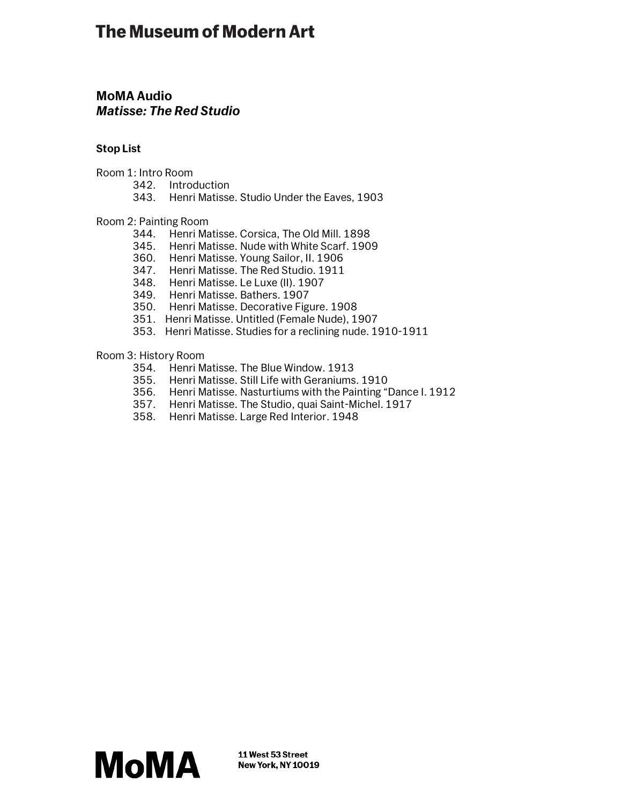# **The Museum of Modern Art**

## **MoMA Audio** *Matisse: The Red Studio*

## **Stop List**

- Room 1: Intro Room
	- 342. Introduction
	- 343. Henri Matisse. Studio Under the Eaves, 1903

### Room 2: Painting Room

- 344. Henri Matisse. Corsica, The Old Mill. 1898
- 345. Henri Matisse. Nude with White Scarf. 1909
- 360. Henri Matisse. Young Sailor, II. 1906
- 347. Henri Matisse. The Red Studio. 1911
- 348. Henri Matisse. Le Luxe (II). 1907
- 349. Henri Matisse. Bathers. 1907
- 350. Henri Matisse. Decorative Figure. 1908
- 351. Henri Matisse. Untitled (Female Nude), 1907
- 353. Henri Matisse. Studies for a reclining nude. 1910-1911

## Room 3: History Room

- 354. Henri Matisse. The Blue Window. 1913
- 355. Henri Matisse. Still Life with Geraniums. 1910
- 356. Henri Matisse. Nasturtiums with the Painting "Dance I. 1912
- 357. Henri Matisse. The Studio, quai Saint-Michel. 1917
- 358. Henri Matisse. Large Red Interior. 1948

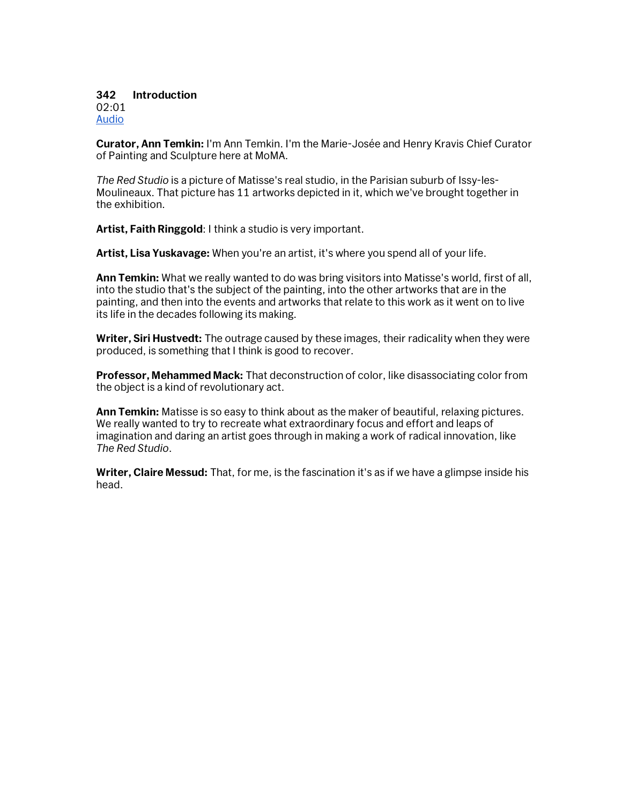#### **342 Introduction** 02:01 Audio

**Curator, Ann Temkin:** I'm Ann Temkin. I'm the Marie-Josée and Henry Kravis Chief Curator of Painting and Sculpture here at MoMA.

*The Red Studio* is a picture of Matisse's real studio, in the Parisian suburb of Issy-les-Moulineaux. That picture has 11 artworks depicted in it, which we've brought together in the exhibition.

**Artist, Faith Ringgold**: I think a studio is very important.

**Artist, Lisa Yuskavage:** When you're an artist, it's where you spend all of your life.

**Ann Temkin:** What we really wanted to do was bring visitors into Matisse's world, first of all, into the studio that's the subject of the painting, into the other artworks that are in the painting, and then into the events and artworks that relate to this work as it went on to live its life in the decades following its making.

**Writer, Siri Hustvedt:** The outrage caused by these images, their radicality when they were produced, is something that I think is good to recover.

**Professor, Mehammed Mack:** That deconstruction of color, like disassociating color from the object is a kind of revolutionary act.

**Ann Temkin:** Matisse is so easy to think about as the maker of beautiful, relaxing pictures. We really wanted to try to recreate what extraordinary focus and effort and leaps of imagination and daring an artist goes through in making a work of radical innovation, like *The Red Studio*.

**Writer, Claire Messud:** That, for me, is the fascination it's as if we have a glimpse inside his head.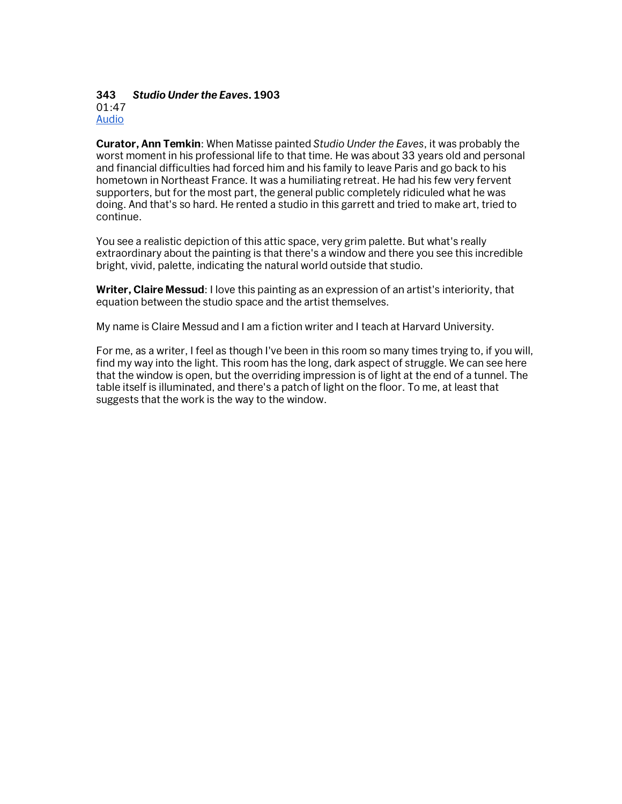#### **343** *Studio Under the Eaves***. 1903** 01:47 Audio

**Curator, Ann Temkin**: When Matisse painted *Studio Under the Eaves*, it was probably the worst moment in his professional life to that time. He was about 33 years old and personal and financial difficulties had forced him and his family to leave Paris and go back to his hometown in Northeast France. It was a humiliating retreat. He had his few very fervent supporters, but for the most part, the general public completely ridiculed what he was doing. And that's so hard. He rented a studio in this garrett and tried to make art, tried to continue.

You see a realistic depiction of this attic space, very grim palette. But what's really extraordinary about the painting is that there's a window and there you see this incredible bright, vivid, palette, indicating the natural world outside that studio.

**Writer, Claire Messud**: I love this painting as an expression of an artist's interiority, that equation between the studio space and the artist themselves.

My name is Claire Messud and I am a fiction writer and I teach at Harvard University.

For me, as a writer, I feel as though I've been in this room so many times trying to, if you will, find my way into the light. This room has the long, dark aspect of struggle. We can see here that the window is open, but the overriding impression is of light at the end of a tunnel. The table itself is illuminated, and there's a patch of light on the floor. To me, at least that suggests that the work is the way to the window.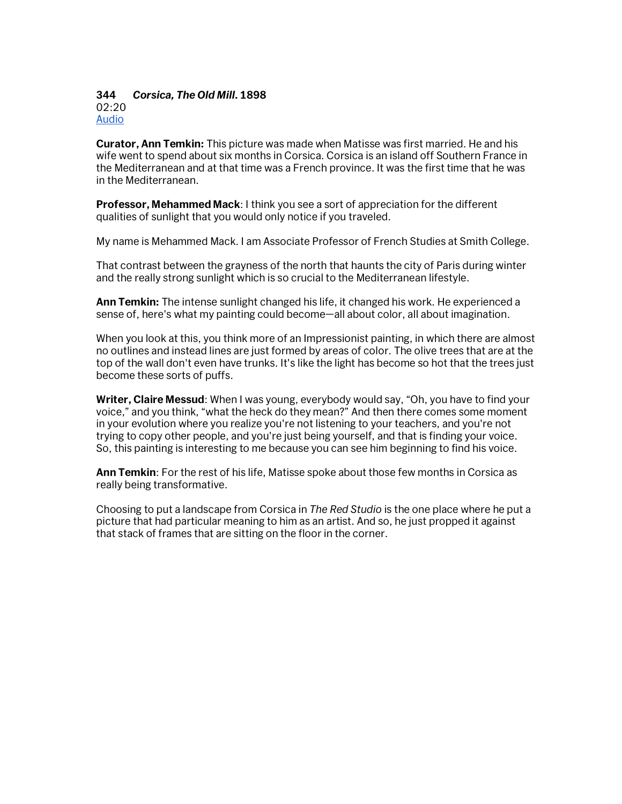#### **344** *Corsica, The Old Mill***. 1898** 02:20 Audio

**Curator, Ann Temkin:** This picture was made when Matisse was first married. He and his wife went to spend about six months in Corsica. Corsica is an island off Southern France in the Mediterranean and at that time was a French province. It was the first time that he was in the Mediterranean.

**Professor, Mehammed Mack**: I think you see a sort of appreciation for the different qualities of sunlight that you would only notice if you traveled.

My name is Mehammed Mack. I am Associate Professor of French Studies at Smith College.

That contrast between the grayness of the north that haunts the city of Paris during winter and the really strong sunlight which is so crucial to the Mediterranean lifestyle.

**Ann Temkin:** The intense sunlight changed his life, it changed his work. He experienced a sense of, here's what my painting could become—all about color, all about imagination.

When you look at this, you think more of an Impressionist painting, in which there are almost no outlines and instead lines are just formed by areas of color. The olive trees that are at the top of the wall don't even have trunks. It's like the light has become so hot that the trees just become these sorts of puffs.

**Writer, Claire Messud**: When I was young, everybody would say, "Oh, you have to find your voice," and you think, "what the heck do they mean?" And then there comes some moment in your evolution where you realize you're not listening to your teachers, and you're not trying to copy other people, and you're just being yourself, and that is finding your voice. So, this painting is interesting to me because you can see him beginning to find his voice.

**Ann Temkin**: For the rest of his life, Matisse spoke about those few months in Corsica as really being transformative.

Choosing to put a landscape from Corsica in *The Red Studio* is the one place where he put a picture that had particular meaning to him as an artist. And so, he just propped it against that stack of frames that are sitting on the floor in the corner.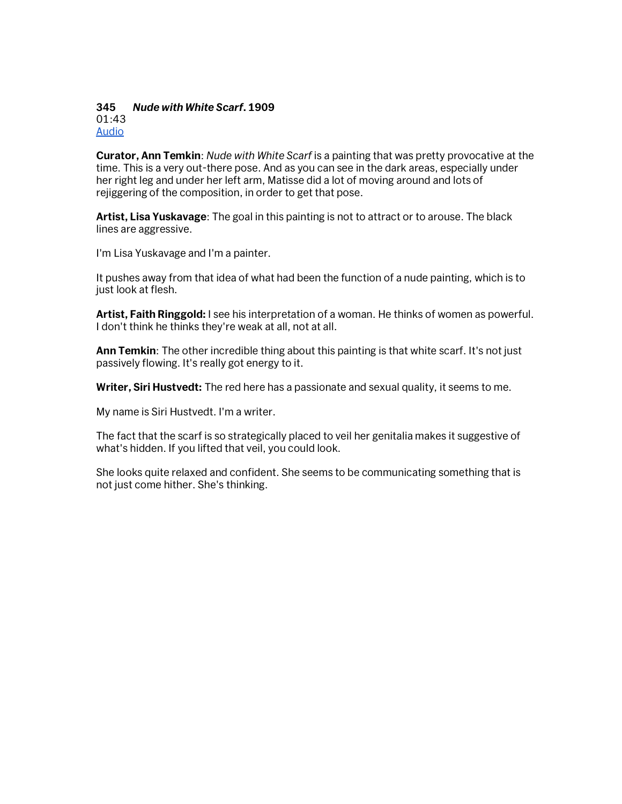#### **345** *Nude with White Scarf***. 1909** 01:43 Audio

**Curator, Ann Temkin**: *Nude with White Scarf* is a painting that was pretty provocative at the time. This is a very out-there pose. And as you can see in the dark areas, especially under her right leg and under her left arm, Matisse did a lot of moving around and lots of rejiggering of the composition, in order to get that pose.

**Artist, Lisa Yuskavage**: The goal in this painting is not to attract or to arouse. The black lines are aggressive.

I'm Lisa Yuskavage and I'm a painter.

It pushes away from that idea of what had been the function of a nude painting, which is to just look at flesh.

**Artist, Faith Ringgold:** I see his interpretation of a woman. He thinks of women as powerful. I don't think he thinks they're weak at all, not at all.

**Ann Temkin**: The other incredible thing about this painting is that white scarf. It's not just passively flowing. It's really got energy to it.

**Writer, Siri Hustvedt:** The red here has a passionate and sexual quality, it seems to me.

My name is Siri Hustvedt. I'm a writer.

The fact that the scarf is so strategically placed to veil her genitalia makes it suggestive of what's hidden. If you lifted that veil, you could look.

She looks quite relaxed and confident. She seems to be communicating something that is not just come hither. She's thinking.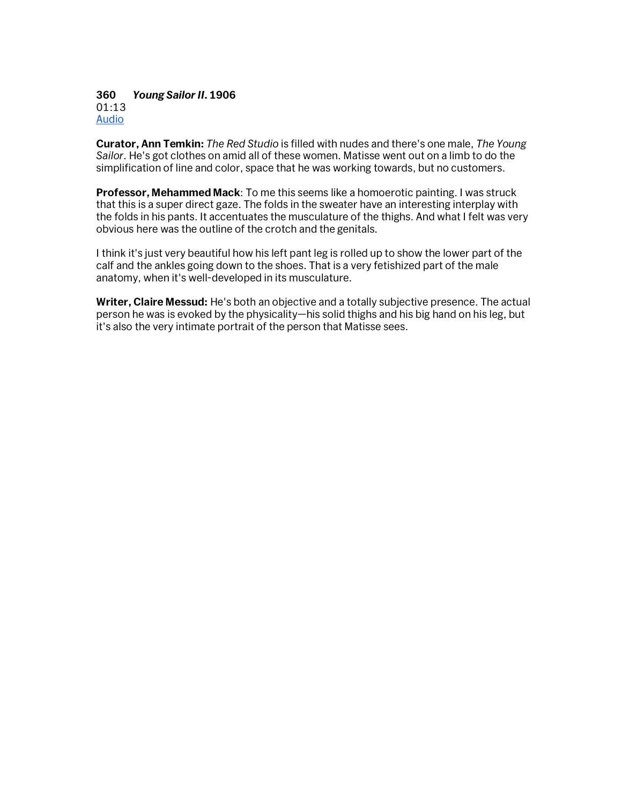**360** *Young Sailor II***. 1906** 01:13 Audio

**Curator, Ann Temkin:** *The Red Studio* is filled with nudes and there's one male, *The Young Sailor*. He's got clothes on amid all of these women. Matisse went out on a limb to do the simplification of line and color, space that he was working towards, but no customers.

**Professor, Mehammed Mack**: To me this seems like a homoerotic painting. I was struck that this is a super direct gaze. The folds in the sweater have an interesting interplay with the folds in his pants. It accentuates the musculature of the thighs. And what I felt was very obvious here was the outline of the crotch and the genitals.

I think it's just very beautiful how his left pant leg is rolled up to show the lower part of the calf and the ankles going down to the shoes. That is a very fetishized part of the male anatomy, when it's well-developed in its musculature.

**Writer, Claire Messud:** He's both an objective and a totally subjective presence. The actual person he was is evoked by the physicality—his solid thighs and his big hand on his leg, but it's also the very intimate portrait of the person that Matisse sees.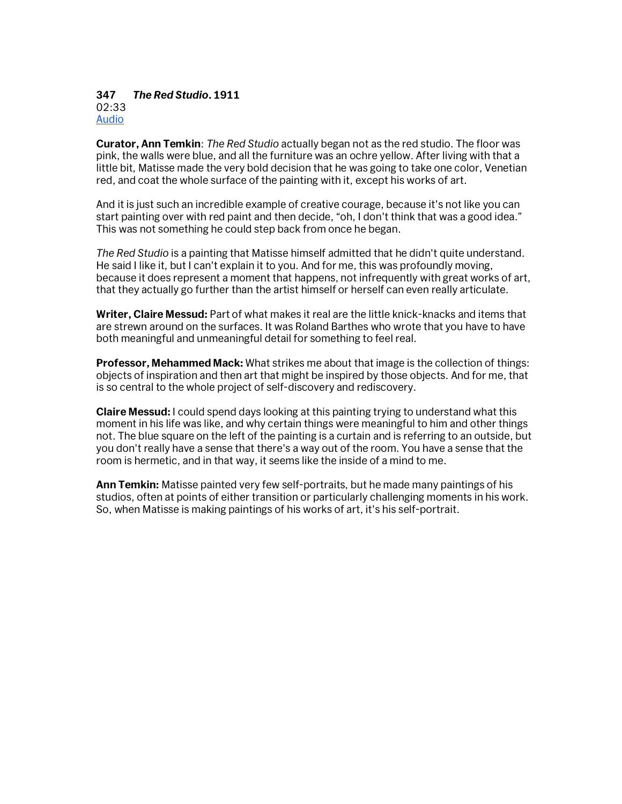#### **347** *The Red Studio***. 1911**  02:33 Audio

**Curator, Ann Temkin**: *The Red Studio* actually began not as the red studio. The floor was pink, the walls were blue, and all the furniture was an ochre yellow. After living with that a little bit, Matisse made the very bold decision that he was going to take one color, Venetian red, and coat the whole surface of the painting with it, except his works of art.

And it is just such an incredible example of creative courage, because it's not like you can start painting over with red paint and then decide, "oh, I don't think that was a good idea." This was not something he could step back from once he began.

*The Red Studio* is a painting that Matisse himself admitted that he didn't quite understand. He said I like it, but I can't explain it to you. And for me, this was profoundly moving, because it does represent a moment that happens, not infrequently with great works of art, that they actually go further than the artist himself or herself can even really articulate.

**Writer, Claire Messud:** Part of what makes it real are the little knick-knacks and items that are strewn around on the surfaces. It was Roland Barthes who wrote that you have to have both meaningful and unmeaningful detail for something to feel real.

**Professor, Mehammed Mack:** What strikes me about that image is the collection of things: objects of inspiration and then art that might be inspired by those objects. And for me, that is so central to the whole project of self-discovery and rediscovery.

**Claire Messud:** I could spend days looking at this painting trying to understand what this moment in his life was like, and why certain things were meaningful to him and other things not. The blue square on the left of the painting is a curtain and is referring to an outside, but you don't really have a sense that there's a way out of the room. You have a sense that the room is hermetic, and in that way, it seems like the inside of a mind to me.

**Ann Temkin:** Matisse painted very few self-portraits, but he made many paintings of his studios, often at points of either transition or particularly challenging moments in his work. So, when Matisse is making paintings of his works of art, it's his self-portrait.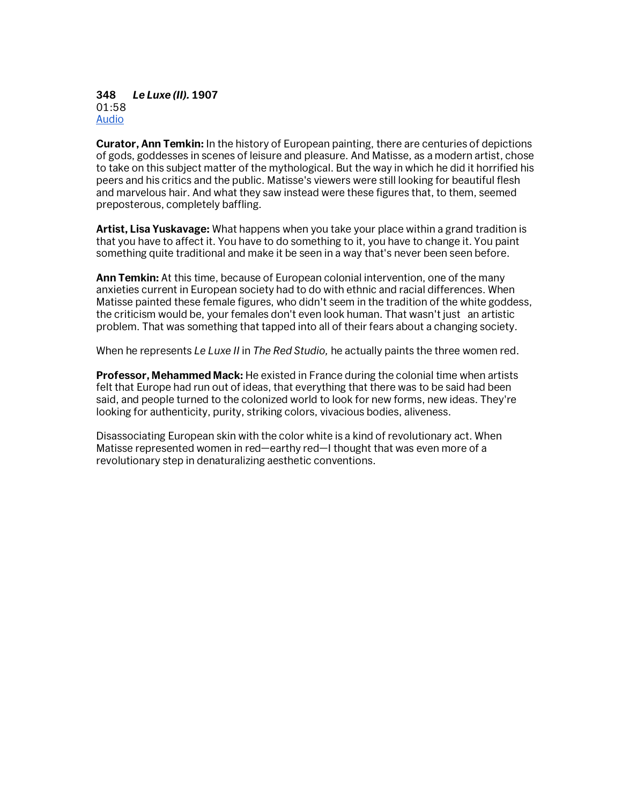#### **348** *Le Luxe (II).* **1907** 01:58 Audio

**Curator, Ann Temkin:** In the history of European painting, there are centuries of depictions of gods, goddesses in scenes of leisure and pleasure. And Matisse, as a modern artist, chose to take on this subject matter of the mythological. But the way in which he did it horrified his peers and his critics and the public. Matisse's viewers were still looking for beautiful flesh and marvelous hair. And what they saw instead were these figures that, to them, seemed preposterous, completely baffling.

**Artist, Lisa Yuskavage:** What happens when you take your place within a grand tradition is that you have to affect it. You have to do something to it, you have to change it. You paint something quite traditional and make it be seen in a way that's never been seen before.

**Ann Temkin:** At this time, because of European colonial intervention, one of the many anxieties current in European society had to do with ethnic and racial differences. When Matisse painted these female figures, who didn't seem in the tradition of the white goddess, the criticism would be, your females don't even look human. That wasn't just an artistic problem. That was something that tapped into all of their fears about a changing society.

When he represents *Le Luxe II* in *The Red Studio,* he actually paints the three women red.

**Professor, Mehammed Mack:** He existed in France during the colonial time when artists felt that Europe had run out of ideas, that everything that there was to be said had been said, and people turned to the colonized world to look for new forms, new ideas. They're looking for authenticity, purity, striking colors, vivacious bodies, aliveness.

Disassociating European skin with the color white is a kind of revolutionary act. When Matisse represented women in red—earthy red—I thought that was even more of a revolutionary step in denaturalizing aesthetic conventions.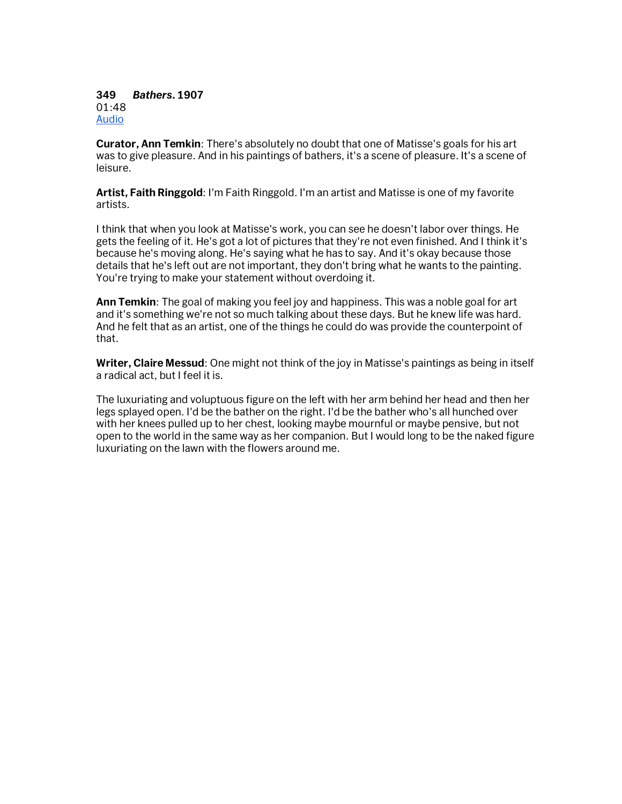**349** *Bathers***. 1907** 01:48 Audio

**Curator, Ann Temkin**: There's absolutely no doubt that one of Matisse's goals for his art was to give pleasure. And in his paintings of bathers, it's a scene of pleasure. It's a scene of leisure.

**Artist, Faith Ringgold**: I'm Faith Ringgold. I'm an artist and Matisse is one of my favorite artists.

I think that when you look at Matisse's work, you can see he doesn't labor over things. He gets the feeling of it. He's got a lot of pictures that they're not even finished. And I think it's because he's moving along. He's saying what he has to say. And it's okay because those details that he's left out are not important, they don't bring what he wants to the painting. You're trying to make your statement without overdoing it.

**Ann Temkin**: The goal of making you feel joy and happiness. This was a noble goal for art and it's something we're not so much talking about these days. But he knew life was hard. And he felt that as an artist, one of the things he could do was provide the counterpoint of that.

**Writer, Claire Messud**: One might not think of the joy in Matisse's paintings as being in itself a radical act, but I feel it is.

The luxuriating and voluptuous figure on the left with her arm behind her head and then her legs splayed open. I'd be the bather on the right. I'd be the bather who's all hunched over with her knees pulled up to her chest, looking maybe mournful or maybe pensive, but not open to the world in the same way as her companion. But I would long to be the naked figure luxuriating on the lawn with the flowers around me.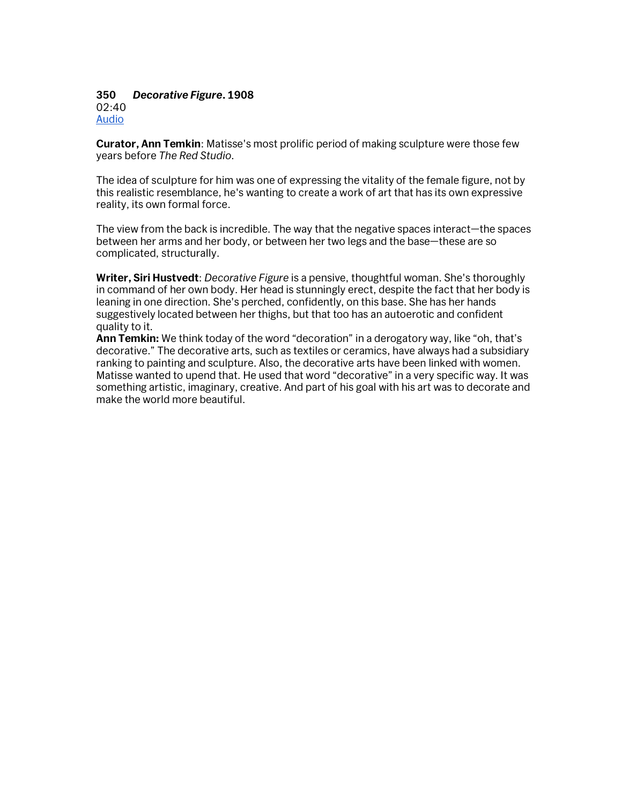#### **350** *Decorative Figure***. 1908** 02:40

Audio

**Curator, Ann Temkin**: Matisse's most prolific period of making sculpture were those few years before *The Red Studio*.

The idea of sculpture for him was one of expressing the vitality of the female figure, not by this realistic resemblance, he's wanting to create a work of art that has its own expressive reality, its own formal force.

The view from the back is incredible. The way that the negative spaces interact—the spaces between her arms and her body, or between her two legs and the base—these are so complicated, structurally.

**Writer, Siri Hustvedt**: *Decorative Figure* is a pensive, thoughtful woman. She's thoroughly in command of her own body. Her head is stunningly erect, despite the fact that her body is leaning in one direction. She's perched, confidently, on this base. She has her hands suggestively located between her thighs, but that too has an autoerotic and confident quality to it.

**Ann Temkin:** We think today of the word "decoration" in a derogatory way, like "oh, that's decorative." The decorative arts, such as textiles or ceramics, have always had a subsidiary ranking to painting and sculpture. Also, the decorative arts have been linked with women. Matisse wanted to upend that. He used that word "decorative" in a very specific way. It was something artistic, imaginary, creative. And part of his goal with his art was to decorate and make the world more beautiful.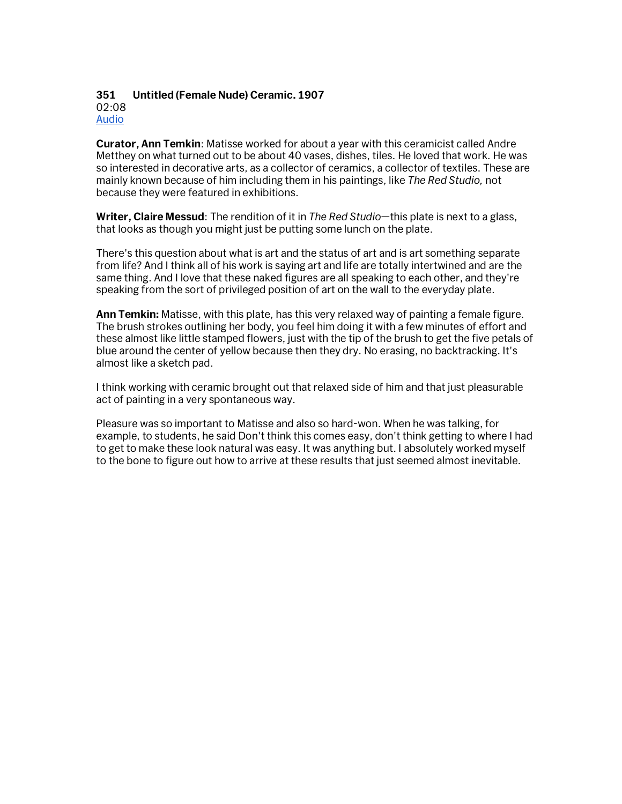## **351 Untitled (Female Nude) Ceramic. 1907** 02:08

Audio

**Curator, Ann Temkin**: Matisse worked for about a year with this ceramicist called Andre Metthey on what turned out to be about 40 vases, dishes, tiles. He loved that work. He was so interested in decorative arts, as a collector of ceramics, a collector of textiles. These are mainly known because of him including them in his paintings, like *The Red Studio,* not because they were featured in exhibitions.

**Writer, Claire Messud**: The rendition of it in *The Red Studio*—this plate is next to a glass, that looks as though you might just be putting some lunch on the plate.

There's this question about what is art and the status of art and is art something separate from life? And I think all of his work is saying art and life are totally intertwined and are the same thing. And I love that these naked figures are all speaking to each other, and they're speaking from the sort of privileged position of art on the wall to the everyday plate.

**Ann Temkin:** Matisse, with this plate, has this very relaxed way of painting a female figure. The brush strokes outlining her body, you feel him doing it with a few minutes of effort and these almost like little stamped flowers, just with the tip of the brush to get the five petals of blue around the center of yellow because then they dry. No erasing, no backtracking. It's almost like a sketch pad.

I think working with ceramic brought out that relaxed side of him and that just pleasurable act of painting in a very spontaneous way.

Pleasure was so important to Matisse and also so hard-won. When he was talking, for example, to students, he said Don't think this comes easy, don't think getting to where I had to get to make these look natural was easy. It was anything but. I absolutely worked myself to the bone to figure out how to arrive at these results that just seemed almost inevitable.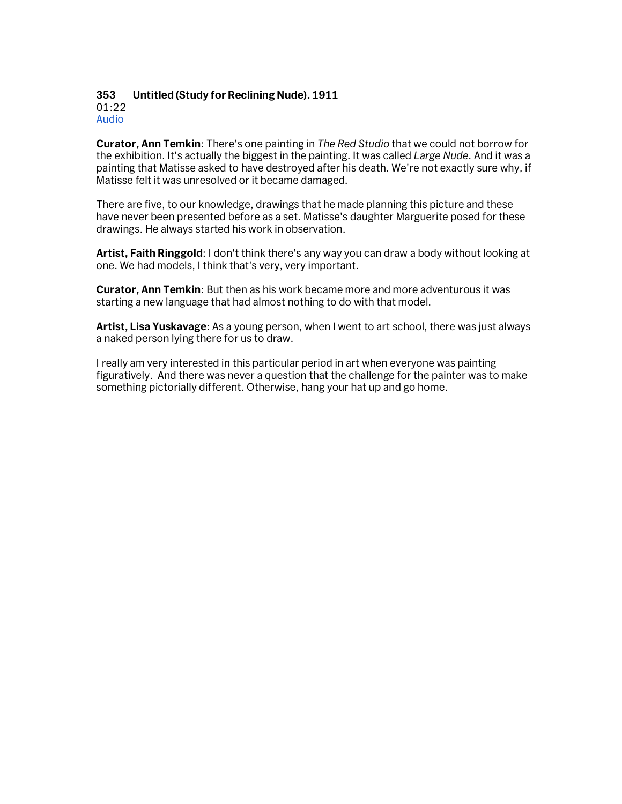#### **353 Untitled (Study for Reclining Nude). 1911** 01:22 Audio

**Curator, Ann Temkin**: There's one painting in *The Red Studio* that we could not borrow for the exhibition. It's actually the biggest in the painting. It was called *Large Nude*. And it was a painting that Matisse asked to have destroyed after his death. We're not exactly sure why, if Matisse felt it was unresolved or it became damaged.

There are five, to our knowledge, drawings that he made planning this picture and these have never been presented before as a set. Matisse's daughter Marguerite posed for these drawings. He always started his work in observation.

**Artist, Faith Ringgold**: I don't think there's any way you can draw a body without looking at one. We had models, I think that's very, very important.

**Curator, Ann Temkin**: But then as his work became more and more adventurous it was starting a new language that had almost nothing to do with that model.

**Artist, Lisa Yuskavage**: As a young person, when I went to art school, there was just always a naked person lying there for us to draw.

I really am very interested in this particular period in art when everyone was painting figuratively. And there was never a question that the challenge for the painter was to make something pictorially different. Otherwise, hang your hat up and go home.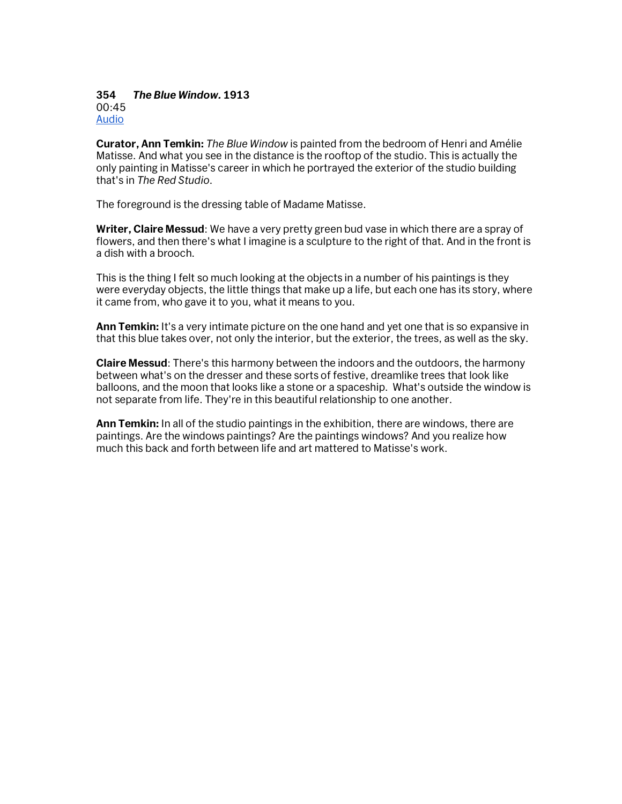#### **354** *The Blue Window.* **1913** 00:45 Audio

**Curator, Ann Temkin:** *The Blue Window* is painted from the bedroom of Henri and Amélie Matisse. And what you see in the distance is the rooftop of the studio. This is actually the only painting in Matisse's career in which he portrayed the exterior of the studio building that's in *The Red Studio*.

The foreground is the dressing table of Madame Matisse.

**Writer, Claire Messud**: We have a very pretty green bud vase in which there are a spray of flowers, and then there's what I imagine is a sculpture to the right of that. And in the front is a dish with a brooch.

This is the thing I felt so much looking at the objects in a number of his paintings is they were everyday objects, the little things that make up a life, but each one has its story, where it came from, who gave it to you, what it means to you.

**Ann Temkin:** It's a very intimate picture on the one hand and yet one that is so expansive in that this blue takes over, not only the interior, but the exterior, the trees, as well as the sky.

**Claire Messud**: There's this harmony between the indoors and the outdoors, the harmony between what's on the dresser and these sorts of festive, dreamlike trees that look like balloons, and the moon that looks like a stone or a spaceship. What's outside the window is not separate from life. They're in this beautiful relationship to one another.

**Ann Temkin:** In all of the studio paintings in the exhibition, there are windows, there are paintings. Are the windows paintings? Are the paintings windows? And you realize how much this back and forth between life and art mattered to Matisse's work.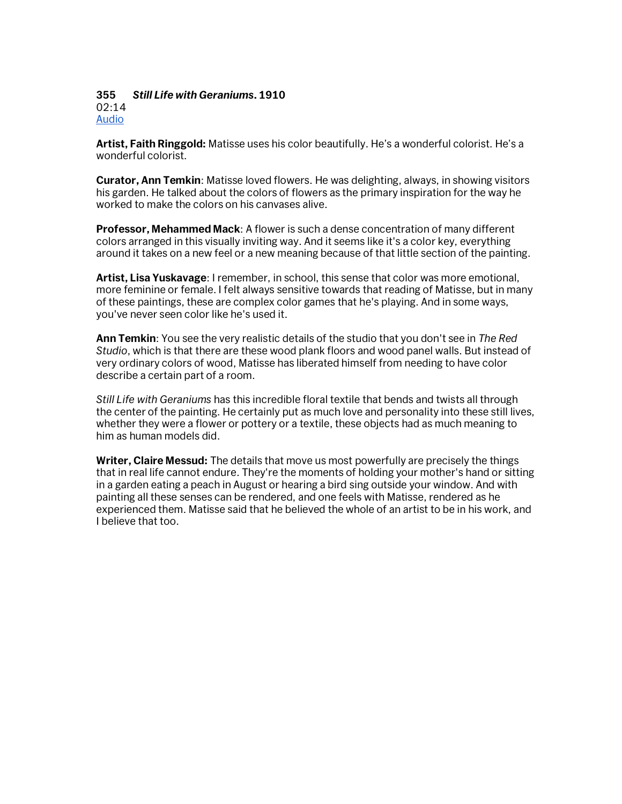#### **355** *Still Life with Geraniums***. 1910** 02:14 Audio

**Artist, Faith Ringgold:** Matisse uses his color beautifully. He's a wonderful colorist. He's a wonderful colorist.

**Curator, Ann Temkin**: Matisse loved flowers. He was delighting, always, in showing visitors his garden. He talked about the colors of flowers as the primary inspiration for the way he worked to make the colors on his canvases alive.

**Professor, Mehammed Mack**: A flower is such a dense concentration of many different colors arranged in this visually inviting way. And it seems like it's a color key, everything around it takes on a new feel or a new meaning because of that little section of the painting.

**Artist, Lisa Yuskavage**: I remember, in school, this sense that color was more emotional, more feminine or female. I felt always sensitive towards that reading of Matisse, but in many of these paintings, these are complex color games that he's playing. And in some ways, you've never seen color like he's used it.

**Ann Temkin**: You see the very realistic details of the studio that you don't see in *The Red Studio*, which is that there are these wood plank floors and wood panel walls. But instead of very ordinary colors of wood, Matisse has liberated himself from needing to have color describe a certain part of a room.

*Still Life with Geraniums* has this incredible floral textile that bends and twists all through the center of the painting. He certainly put as much love and personality into these still lives, whether they were a flower or pottery or a textile, these objects had as much meaning to him as human models did.

**Writer, Claire Messud:** The details that move us most powerfully are precisely the things that in real life cannot endure. They're the moments of holding your mother's hand or sitting in a garden eating a peach in August or hearing a bird sing outside your window. And with painting all these senses can be rendered, and one feels with Matisse, rendered as he experienced them. Matisse said that he believed the whole of an artist to be in his work, and I believe that too.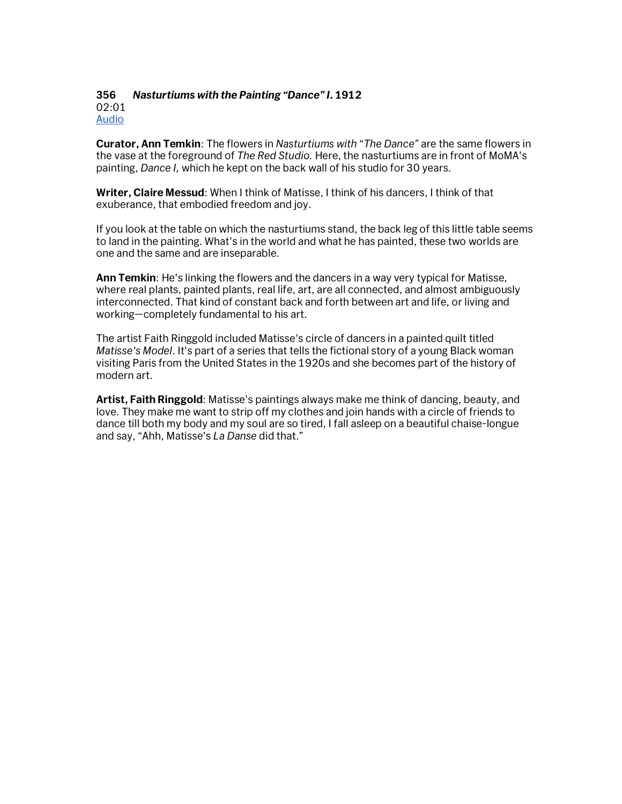#### **356** *Nasturtiums with the Painting "Dance" I***. 1912** 02:01 Audio

**Curator, Ann Temkin**: The flowers in *Nasturtiums with* "*The Dance"* are the same flowers in the vase at the foreground of *The Red Studio.* Here, the nasturtiums are in front of MoMA's painting, *Dance I,* which he kept on the back wall of his studio for 30 years.

**Writer, Claire Messud**: When I think of Matisse, I think of his dancers, I think of that exuberance, that embodied freedom and joy.

If you look at the table on which the nasturtiums stand, the back leg of this little table seems to land in the painting. What's in the world and what he has painted, these two worlds are one and the same and are inseparable.

**Ann Temkin**: He's linking the flowers and the dancers in a way very typical for Matisse, where real plants, painted plants, real life, art, are all connected, and almost ambiguously interconnected. That kind of constant back and forth between art and life, or living and working—completely fundamental to his art.

The artist Faith Ringgold included Matisse's circle of dancers in a painted quilt titled *Matisse's Model*. It's part of a series that tells the fictional story of a young Black woman visiting Paris from the United States in the 1920s and she becomes part of the history of modern art.

**Artist, Faith Ringgold**: Matisse's paintings always make me think of dancing, beauty, and love. They make me want to strip off my clothes and join hands with a circle of friends to dance till both my body and my soul are so tired, I fall asleep on a beautiful chaise-longue and say, "Ahh, Matisse's *La Danse* did that."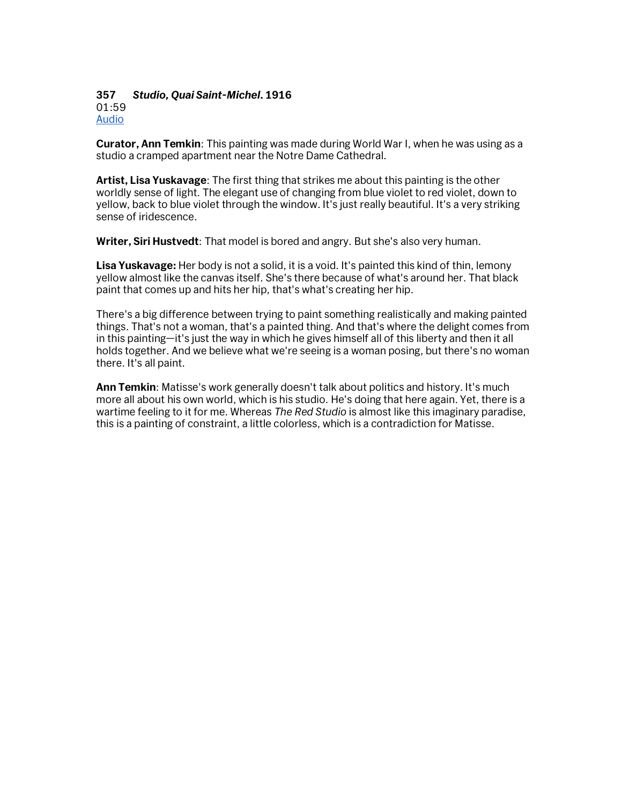#### **357** *Studio, Quai Saint-Michel***. 1916** 01:59 Audio

**Curator, Ann Temkin**: This painting was made during World War I, when he was using as a studio a cramped apartment near the Notre Dame Cathedral.

**Artist, Lisa Yuskavage**: The first thing that strikes me about this painting is the other worldly sense of light. The elegant use of changing from blue violet to red violet, down to yellow, back to blue violet through the window. It's just really beautiful. It's a very striking sense of iridescence.

**Writer, Siri Hustvedt**: That model is bored and angry. But she's also very human.

**Lisa Yuskavage:** Her body is not a solid, it is a void. It's painted this kind of thin, lemony yellow almost like the canvas itself. She's there because of what's around her. That black paint that comes up and hits her hip, that's what's creating her hip.

There's a big difference between trying to paint something realistically and making painted things. That's not a woman, that's a painted thing. And that's where the delight comes from in this painting—it's just the way in which he gives himself all of this liberty and then it all holds together. And we believe what we're seeing is a woman posing, but there's no woman there. It's all paint.

**Ann Temkin**: Matisse's work generally doesn't talk about politics and history. It's much more all about his own world, which is his studio. He's doing that here again. Yet, there is a wartime feeling to it for me. Whereas *The Red Studio* is almost like this imaginary paradise, this is a painting of constraint, a little colorless, which is a contradiction for Matisse.